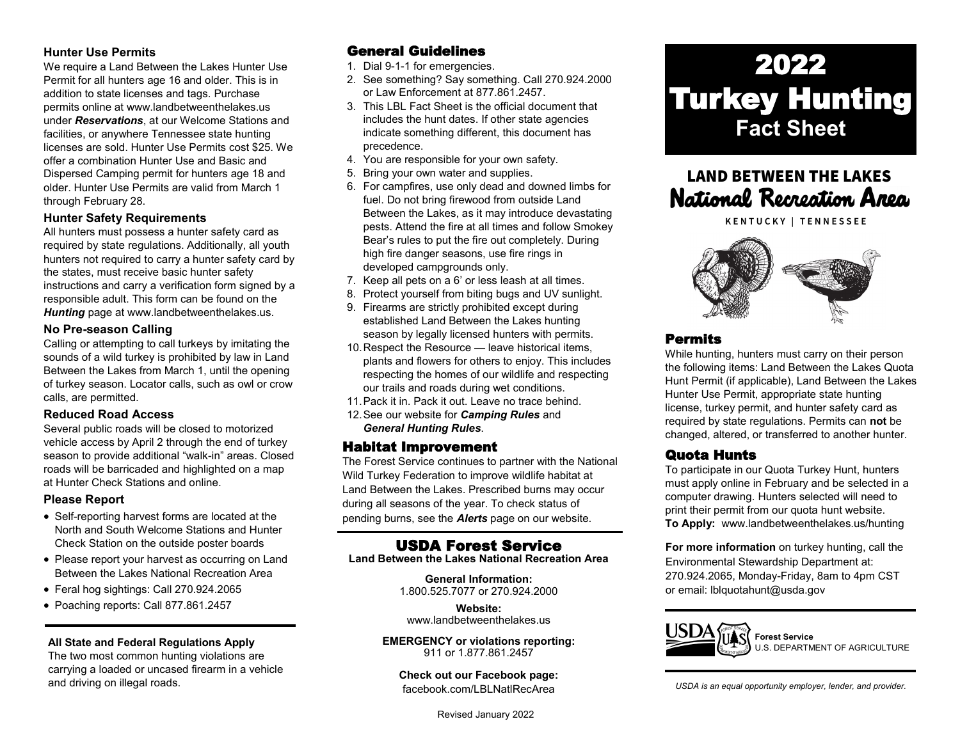## **Hunter Use Permits**

We require a Land Between the Lakes Hunter Use Permit for all hunters age 16 and older. This is in addition to state licenses and tags. Purchase permits online at www.landbetweenthelakes.us under *Reservations*, at our Welcome Stations and facilities, or anywhere Tennessee state hunting licenses are sold. Hunter Use Permits cost \$25. We offer a combination Hunter Use and Basic and Dispersed Camping permit for hunters age 18 and older. Hunter Use Permits are valid from March 1 through February 28.

## **Hunter Safety Requirements**

All hunters must possess a hunter safety card as required by state regulations. Additionally, all youth hunters not required to carry a hunter safety card by the states, must receive basic hunter safety instructions and carry a verification form signed by a responsible adult. This form can be found on the *Hunting* page at www.landbetweenthelakes.us.

## **No Pre-season Calling**

Calling or attempting to call turkeys by imitating the sounds of a wild turkey is prohibited by law in Land Between the Lakes from March 1, until the opening of turkey season. Locator calls, such as owl or crow calls, are permitted.

## **Reduced Road Access**

Several public roads will be closed to motorized vehicle access by April 2 through the end of turkey season to provide additional "walk-in" areas. Closed roads will be barricaded and highlighted on a map at Hunter Check Stations and online.

## **Please Report**

- Self-reporting harvest forms are located at the North and South Welcome Stations and Hunter Check Station on the outside poster boards
- Please report your harvest as occurring on Land Between the Lakes National Recreation Area
- Feral hog sightings: Call 270.924.2065
- Poaching reports: Call 877.861.2457

#### **All State and Federal Regulations Apply**

The two most common hunting violations are carrying a loaded or uncased firearm in a vehicle and driving on illegal roads.

## General Guidelines

- 1. Dial 9-1-1 for emergencies.
- 2. See something? Say something. Call 270.924.2000 or Law Enforcement at 877.861.2457.
- 3. This LBL Fact Sheet is the official document that includes the hunt dates. If other state agencies indicate something different, this document has precedence.
- 4. You are responsible for your own safety.
- 5. Bring your own water and supplies.
- 6. For campfires, use only dead and downed limbs for fuel. Do not bring firewood from outside Land Between the Lakes, as it may introduce devastating pests. Attend the fire at all times and follow Smokey Bear's rules to put the fire out completely. During high fire danger seasons, use fire rings in developed campgrounds only.
- 7. Keep all pets on a 6' or less leash at all times.
- 8. Protect yourself from biting bugs and UV sunlight.
- 9. Firearms are strictly prohibited except during established Land Between the Lakes hunting season by legally licensed hunters with permits.
- 10. Respect the Resource leave historical items. plants and flowers for others to enjoy. This includes respecting the homes of our wildlife and respecting our trails and roads during wet conditions.
- 11.Pack it in. Pack it out. Leave no trace behind.
- 12.See our website for *Camping Rules* and *General Hunting Rules*.

## Habitat Improvement

The Forest Service continues to partner with the National Wild Turkey Federation to improve wildlife habitat at Land Between the Lakes. Prescribed burns may occur during all seasons of the year. To check status of pending burns, see the *Alerts* page on our website.

## USDA Forest Service

**Land Between the Lakes National Recreation Area**

**General Information:** 1.800.525.7077 or 270.924.2000

**Website:** [www.landbetweenthelakes.us](http://www.landbetweenthelakes.us)

**EMERGENCY or violations reporting:**  911 or 1.877.861.2457

**Check out our Facebook page:** f[acebook.com/LBLNatlRecArea](http://www.facebook.com/FriendsofLandBetweenTheLakes)

Revised January 2022

# 2022 Turkey Hunting **Fact Sheet**

## **LAND BETWEEN THE LAKES** National Recreation Area

KENTUCKY | TENNESSEE



## Permits

While hunting, hunters must carry on their person the following items: Land Between the Lakes Quota Hunt Permit (if applicable), Land Between the Lakes Hunter Use Permit, appropriate state hunting license, turkey permit, and hunter safety card as required by state regulations. Permits can **not** be changed, altered, or transferred to another hunter.

## Quota Hunts

To participate in our Quota Turkey Hunt, hunters must apply online in February and be selected in a computer drawing. Hunters selected will need to print their permit from our quota hunt website. **To Apply:** www.landbetweenthelakes.us/hunting

**For more information** on turkey hunting, call the Environmental Stewardship Department at: 270.924.2065, Monday-Friday, 8am to 4pm CST or email: lblquotahunt@usda.gov



**Forest Service** U.S. DEPARTMENT OF AGRICULTURE

*USDA is an equal opportunity employer, lender, and provider.*